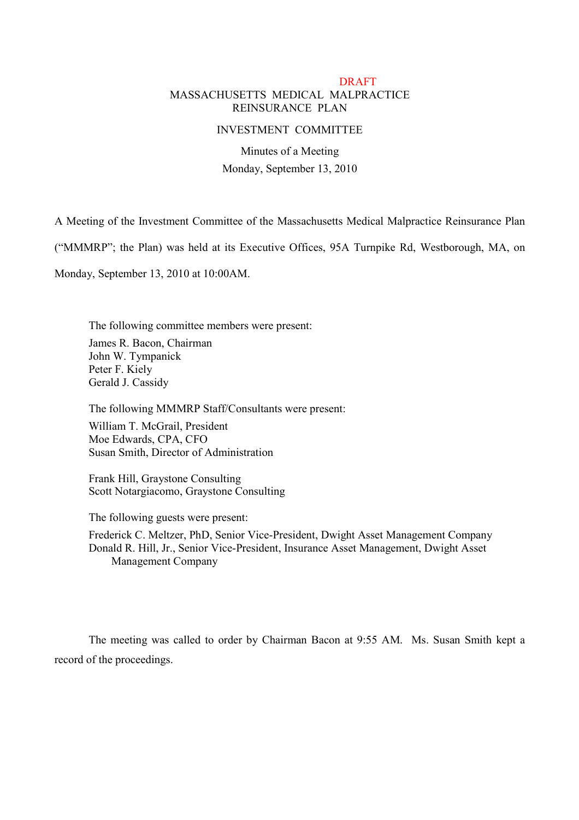## **DRAFT** MASSACHUSETTS MEDICAL MALPRACTICE REINSURANCE PLAN

## INVESTMENT COMMITTEE

# Minutes of a Meeting Monday, September 13, 2010

A Meeting of the Investment Committee of the Massachusetts Medical Malpractice Reinsurance Plan

("MMMRP"; the Plan) was held at its Executive Offices, 95A Turnpike Rd, Westborough, MA, on

Monday, September 13, 2010 at 10:00AM.

The following committee members were present: James R. Bacon, Chairman John W. Tympanick Peter F. Kiely Gerald J. Cassidy

The following MMMRP Staff/Consultants were present:

William T. McGrail, President Moe Edwards, CPA, CFO Susan Smith, Director of Administration

Frank Hill, Graystone Consulting Scott Notargiacomo, Graystone Consulting

The following guests were present:

Frederick C. Meltzer, PhD, Senior Vice-President, Dwight Asset Management Company Donald R. Hill, Jr., Senior Vice-President, Insurance Asset Management, Dwight Asset Management Company

The meeting was called to order by Chairman Bacon at 9:55 AM. Ms. Susan Smith kept a record of the proceedings.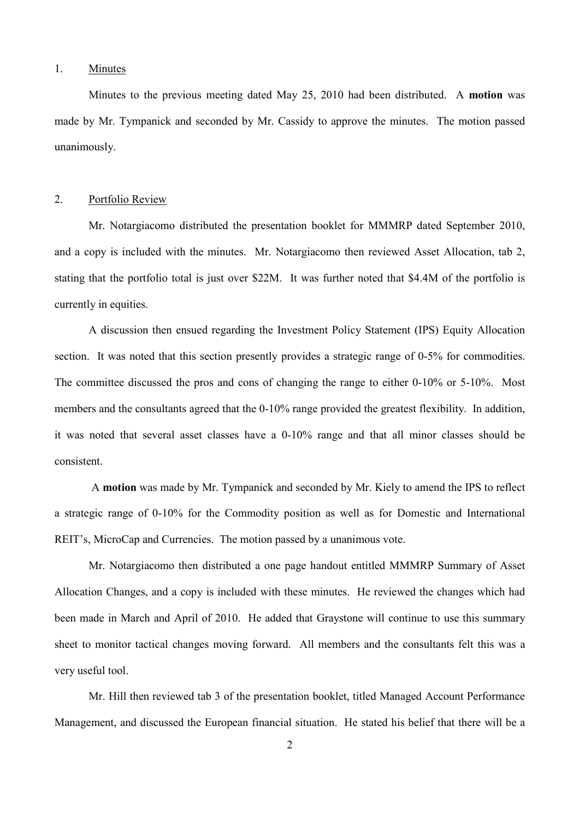#### 1. Minutes

Minutes to the previous meeting dated May 25, 2010 had been distributed. A **motion** was made by Mr. Tympanick and seconded by Mr. Cassidy to approve the minutes. The motion passed unanimously.

#### 2. Portfolio Review

Mr. Notargiacomo distributed the presentation booklet for MMMRP dated September 2010, and a copy is included with the minutes. Mr. Notargiacomo then reviewed Asset Allocation, tab 2, stating that the portfolio total is just over \$22M. It was further noted that \$4.4M of the portfolio is currently in equities.

A discussion then ensued regarding the Investment Policy Statement (IPS) Equity Allocation section. It was noted that this section presently provides a strategic range of 0-5% for commodities. The committee discussed the pros and cons of changing the range to either 0-10% or 5-10%. Most members and the consultants agreed that the 0-10% range provided the greatest flexibility. In addition, it was noted that several asset classes have a 0-10% range and that all minor classes should be consistent.

A **motion** was made by Mr. Tympanick and seconded by Mr. Kiely to amend the IPS to reflect a strategic range of 0-10% for the Commodity position as well as for Domestic and International REIT's, MicroCap and Currencies. The motion passed by a unanimous vote.

Mr. Notargiacomo then distributed a one page handout entitled MMMRP Summary of Asset Allocation Changes, and a copy is included with these minutes. He reviewed the changes which had been made in March and April of 2010. He added that Graystone will continue to use this summary sheet to monitor tactical changes moving forward. All members and the consultants felt this was a very useful tool.

Mr. Hill then reviewed tab 3 of the presentation booklet, titled Managed Account Performance Management, and discussed the European financial situation. He stated his belief that there will be a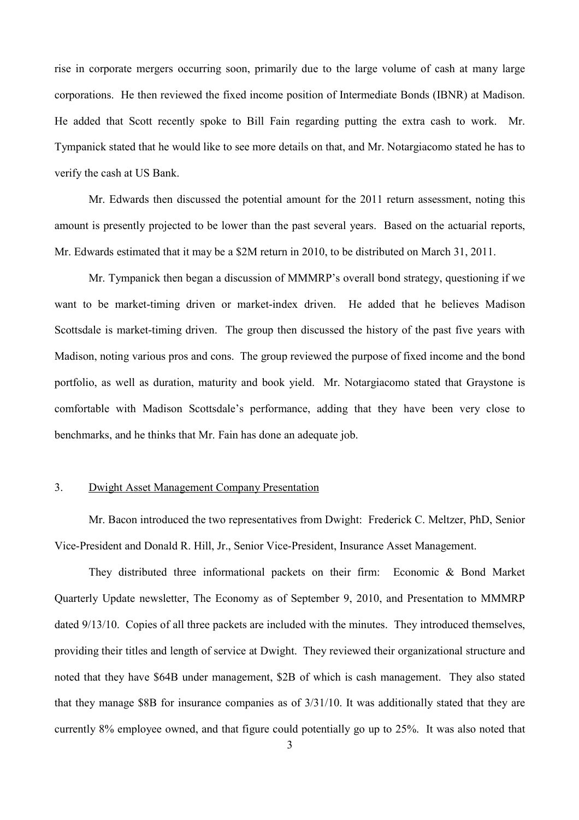rise in corporate mergers occurring soon, primarily due to the large volume of cash at many large corporations. He then reviewed the fixed income position of Intermediate Bonds (IBNR) at Madison. He added that Scott recently spoke to Bill Fain regarding putting the extra cash to work. Mr. Tympanick stated that he would like to see more details on that, and Mr. Notargiacomo stated he has to verify the cash at US Bank.

Mr. Edwards then discussed the potential amount for the 2011 return assessment, noting this amount is presently projected to be lower than the past several years. Based on the actuarial reports, Mr. Edwards estimated that it may be a \$2M return in 2010, to be distributed on March 31, 2011.

Mr. Tympanick then began a discussion of MMMRP's overall bond strategy, questioning if we want to be market-timing driven or market-index driven. He added that he believes Madison Scottsdale is market-timing driven. The group then discussed the history of the past five years with Madison, noting various pros and cons. The group reviewed the purpose of fixed income and the bond portfolio, as well as duration, maturity and book yield. Mr. Notargiacomo stated that Graystone is comfortable with Madison Scottsdale's performance, adding that they have been very close to benchmarks, and he thinks that Mr. Fain has done an adequate job.

## 3. Dwight Asset Management Company Presentation

Mr. Bacon introduced the two representatives from Dwight: Frederick C. Meltzer, PhD, Senior Vice-President and Donald R. Hill, Jr., Senior Vice-President, Insurance Asset Management.

They distributed three informational packets on their firm: Economic & Bond Market Quarterly Update newsletter, The Economy as of September 9, 2010, and Presentation to MMMRP dated 9/13/10. Copies of all three packets are included with the minutes. They introduced themselves, providing their titles and length of service at Dwight. They reviewed their organizational structure and noted that they have \$64B under management, \$2B of which is cash management. They also stated that they manage \$8B for insurance companies as of 3/31/10. It was additionally stated that they are currently 8% employee owned, and that figure could potentially go up to 25%. It was also noted that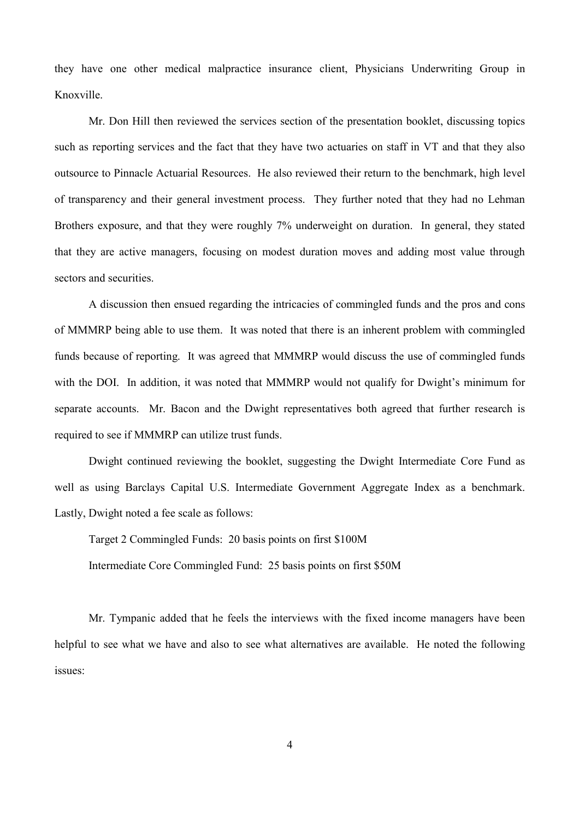they have one other medical malpractice insurance client, Physicians Underwriting Group in Knoxville.

Mr. Don Hill then reviewed the services section of the presentation booklet, discussing topics such as reporting services and the fact that they have two actuaries on staff in VT and that they also outsource to Pinnacle Actuarial Resources. He also reviewed their return to the benchmark, high level of transparency and their general investment process. They further noted that they had no Lehman Brothers exposure, and that they were roughly 7% underweight on duration. In general, they stated that they are active managers, focusing on modest duration moves and adding most value through sectors and securities.

A discussion then ensued regarding the intricacies of commingled funds and the pros and cons of MMMRP being able to use them. It was noted that there is an inherent problem with commingled funds because of reporting. It was agreed that MMMRP would discuss the use of commingled funds with the DOI. In addition, it was noted that MMMRP would not qualify for Dwight's minimum for separate accounts. Mr. Bacon and the Dwight representatives both agreed that further research is required to see if MMMRP can utilize trust funds.

Dwight continued reviewing the booklet, suggesting the Dwight Intermediate Core Fund as well as using Barclays Capital U.S. Intermediate Government Aggregate Index as a benchmark. Lastly, Dwight noted a fee scale as follows:

Target 2 Commingled Funds: 20 basis points on first \$100M Intermediate Core Commingled Fund: 25 basis points on first \$50M

Mr. Tympanic added that he feels the interviews with the fixed income managers have been helpful to see what we have and also to see what alternatives are available. He noted the following issues: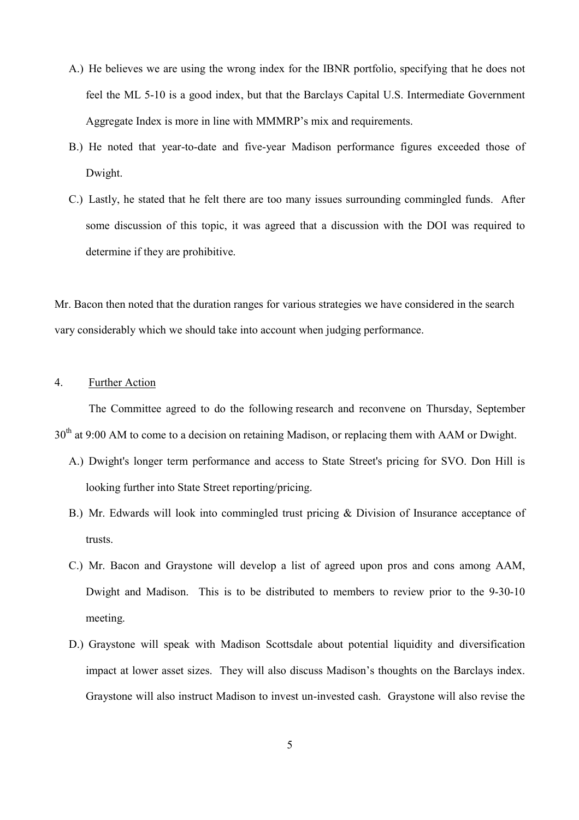- A.) He believes we are using the wrong index for the IBNR portfolio, specifying that he does not feel the ML 5-10 is a good index, but that the Barclays Capital U.S. Intermediate Government Aggregate Index is more in line with MMMRP's mix and requirements.
- B.) He noted that year-to-date and five-year Madison performance figures exceeded those of Dwight.
- C.) Lastly, he stated that he felt there are too many issues surrounding commingled funds. After some discussion of this topic, it was agreed that a discussion with the DOI was required to determine if they are prohibitive.

Mr. Bacon then noted that the duration ranges for various strategies we have considered in the search vary considerably which we should take into account when judging performance.

## 4. Further Action

The Committee agreed to do the following research and reconvene on Thursday, September 30<sup>th</sup> at 9:00 AM to come to a decision on retaining Madison, or replacing them with AAM or Dwight.

- A.) Dwight's longer term performance and access to State Street's pricing for SVO. Don Hill is looking further into State Street reporting/pricing.
- B.) Mr. Edwards will look into commingled trust pricing & Division of Insurance acceptance of trusts.
- C.) Mr. Bacon and Graystone will develop a list of agreed upon pros and cons among AAM, Dwight and Madison. This is to be distributed to members to review prior to the 9-30-10 meeting.
- D.) Graystone will speak with Madison Scottsdale about potential liquidity and diversification impact at lower asset sizes. They will also discuss Madison's thoughts on the Barclays index. Graystone will also instruct Madison to invest un-invested cash. Graystone will also revise the